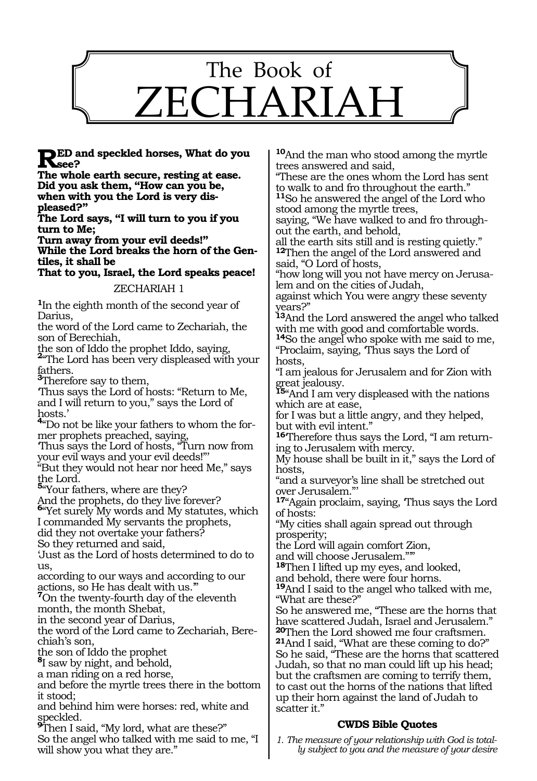

**RED** and speckled horses, What do you<br>The whale earth secure meeting at each

**The whole earth secure, resting at ease. Did you ask them, "How can you be, when with you the Lord is very displeased?"**

**The Lord says, "I will turn to you if you turn to Me;**

**Turn away from your evil deeds!" While the Lord breaks the horn of the Gentiles, it shall be** 

**That to you, Israel, the Lord speaks peace!** 

#### ZECHARIAH 1

**<sup>1</sup>**In the eighth month of the second year of Darius,

the word of the Lord came to Zechariah, the son of Berechiah,

the son of Iddo the prophet Iddo, saying, **<sup>2</sup>**"The Lord has been very displeased with your

fathers. **<sup>3</sup>**Therefore say to them,

'Thus says the Lord of hosts: "Return to Me, and I will return to you," says the Lord of hosts.'

**<sup>4</sup>**"Do not be like your fathers to whom the former prophets preached, saying,

'Thus says the Lord of hosts, "Turn now from your evil ways and your evil deeds!"'

"But they would not hear nor heed Me," says the Lord.

**<sup>5</sup>**"Your fathers, where are they?

And the prophets, do they live forever?

**<sup>6</sup>**"Yet surely My words and My statutes, which I commanded My servants the prophets,

did they not overtake your fathers?

So they returned and said,

'Just as the Lord of hosts determined to do to us,

according to our ways and according to our

actions, so He has dealt with us.'" **<sup>7</sup>**On the twenty-fourth day of the eleventh month, the month Shebat,

in the second year of Darius,

the word of the Lord came to Zechariah, Berechiah's son,

the son of Iddo the prophet

**<sup>8</sup>**I saw by night, and behold,

a man riding on a red horse,

and before the myrtle trees there in the bottom it stood;

and behind him were horses: red, white and

speckled. **<sup>9</sup>**Then I said, "My lord, what are these?"

So the angel who talked with me said to me, "I will show you what they are."

**<sup>10</sup>**And the man who stood among the myrtle trees answered and said,

"These are the ones whom the Lord has sent to walk to and fro throughout the earth."

**<sup>11</sup>**So he answered the angel of the Lord who stood among the myrtle trees,

saying, "We have walked to and fro through- out the earth, and behold,

all the earth sits still and is resting quietly." **<sup>12</sup>**Then the angel of the Lord answered and said, "O Lord of hosts,

"how long will you not have mercy on Jerusalem and on the cities of Judah,

against which You were angry these seventy years?"

**<sup>13</sup>**And the Lord answered the angel who talked with me with good and comfortable words. with me with good and comfortable words.<br><sup>14</sup>So the angel who spoke with me said to me,

"Proclaim, saying, 'Thus says the Lord of hosts,

"I am jealous for Jerusalem and for Zion with great jealousy.

**<sup>15</sup>**"And I am very displeased with the nations which are at ease,

for I was but a little angry, and they helped, but with evil intent."

**16**'Therefore thus says the Lord, "I am returning to Jerusalem with mercy.

My house shall be built in it," says the Lord of hosts,

"and a surveyor's line shall be stretched out over Jerusalem."'

**<sup>17</sup>**"Again proclaim, saying, 'Thus says the Lord of hosts:

"My cities shall again spread out through prosperity;

the Lord will again comfort Zion,

and will choose Jerusalem.""

**<sup>18</sup>**Then I lifted up my eyes, and looked,

and behold, there were four horns.

**<sup>19</sup>**And I said to the angel who talked with me, "What are these?"

So he answered me, "These are the horns that have scattered Judah, Israel and Jerusalem." **<sup>20</sup>**Then the Lord showed me four craftsmen. **<sup>21</sup>**And I said, "What are these coming to do?" So he said, "These are the horns that scattered Judah, so that no man could lift up his head; but the craftsmen are coming to terrify them, to cast out the horns of the nations that lifted up their horn against the land of Judah to scatter it."

# **CWDS Bible Quotes**

*1. The measure of your relationship with God is totally subject to you and the measure of your desire*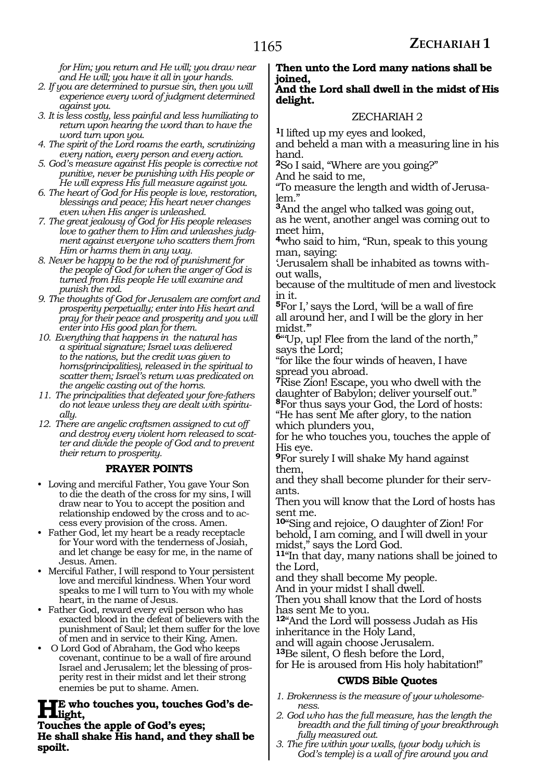*for Him; you return and He will; you draw near and He will; you have it all in your hands.* 

- *2. If you are determined to pursue sin, then you will experience every word of judgment determined against you.*
- *3. It is less costly, less painful and less humiliating to return upon hearing the word than to have the word turn upon you.*
- *4. The spirit of the Lord roams the earth, scrutinizing every nation, every person and every action.*
- *5. God's measure against His people is corrective not punitive, never be punishing with His people or He will express His full measure against you.*
- *6. The heart of God for His people is love, restoration, blessings and peace; His heart never changes even when His anger is unleashed.*
- *7. The great jealousy of God for His people releases love to gather them to Him and unleashes judgment against everyone who scatters them from Him or harms them in any way.*
- *8. Never be happy to be the rod of punishment for the people of God for when the anger of God is turned from His people He will examine and punish the rod.*
- *9. The thoughts of God for Jerusalem are comfort and prosperity perpetually; enter into His heart and pray for their peace and prosperity and you will enter into His good plan for them.*
- *10. Everything that happens in the natural has a spiritual signature; Israel was delivered to the nations, but the credit was given to horns(principalities), released in the spiritual to scatter them; Israel's return was predicated on the angelic casting out of the horns.*
- *11. The principalities that defeated your fore-fathers do not leave unless they are dealt with spiritually.*
- *12. There are angelic craftsmen assigned to cut off and destroy every violent horn released to scatter and divide the people of God and to prevent their return to prosperity.*

#### **PRAYER POINTS**

- • Loving and merciful Father, You gave Your Son to die the death of the cross for my sins, I will draw near to You to accept the position and relationship endowed by the cross and to access every provision of the cross. Amen.
- • Father God, let my heart be a ready receptacle for Your word with the tenderness of Josiah, and let change be easy for me, in the name of Jesus. Amen.
- • Merciful Father, I will respond to Your persistent love and merciful kindness. When Your word speaks to me I will turn to You with my whole heart, in the name of Jesus.
- • Father God, reward every evil person who has exacted blood in the defeat of believers with the punishment of Saul; let them suffer for the love of men and in service to their King. Amen.
- • O Lord God of Abraham, the God who keeps covenant, continue to be a wall of fire around Israel and Jerusalem; let the blessing of prosperity rest in their midst and let their strong enemies be put to shame. Amen.

#### **He who touches you, touches God's delight,**

**Touches the apple of God's eyes; He shall shake His hand, and they shall be spoilt.** 

#### **Then unto the Lord many nations shall be joined,**

#### **And the Lord shall dwell in the midst of His delight.**

### ZECHARIAH 2

**<sup>1</sup>**I lifted up my eyes and looked,

and beheld a man with a measuring line in his hand.

**<sup>2</sup>**So I said, "Where are you going?"

And he said to me,

"To measure the length and width of Jerusa- lem."

**<sup>3</sup>**And the angel who talked was going out, as he went, another angel was coming out to meet him,

**<sup>4</sup>**who said to him, "Run, speak to this young man, saying:

'Jerusalem shall be inhabited as towns without walls,

because of the multitude of men and livestock in it.

**<sup>5</sup>**For I,' says the Lord, 'will be a wall of fire all around her, and I will be the glory in her midst.'"

**<sup>6</sup>**"'Up, up! Flee from the land of the north," says the Lord;

"for like the four winds of heaven, I have spread you abroad.

**<sup>7</sup>**Rise Zion! Escape, you who dwell with the daughter of Babylon; deliver yourself out."

**<sup>8</sup>**For thus says your God, the Lord of hosts: "He has sent Me after glory, to the nation which plunders you,

for he who touches you, touches the apple of His eye.

**<sup>9</sup>**For surely I will shake My hand against them,

and they shall become plunder for their servants.

Then you will know that the Lord of hosts has sent me.

**<sup>10</sup>**"Sing and rejoice, O daughter of Zion! For behold, I am coming, and I will dwell in your midst," says the Lord God.

**<sup>11</sup>**"In that day, many nations shall be joined to the Lord,

and they shall become My people.

And in your midst I shall dwell.

Then you shall know that the Lord of hosts has sent Me to you.

**<sup>12</sup>**"And the Lord will possess Judah as His inheritance in the Holy Land,

and will again choose Jerusalem.

**<sup>13</sup>**Be silent, O flesh before the Lord,

for He is aroused from His holy habitation!"

#### **CWDS Bible Quotes**

- *1. Brokenness is the measure of your wholesomeness.*
- *2. God who has the full measure, has the length the breadth and the full timing of your breakthrough fully measured out.*
- *3. The fire within your walls, (your body which is God's temple) is a wall of fire around you and*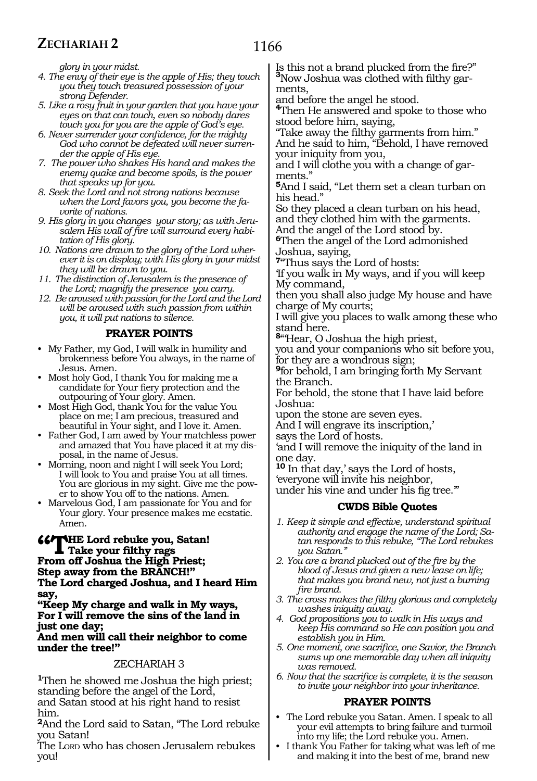*glory in your midst.*

- *4. The envy of their eye is the apple of His; they touch you they touch treasured possession of your strong Defender.*
- *5. Like a rosy fruit in your garden that you have your eyes on that can touch, even so nobody dares touch you for you are the apple of God's eye.*
- *6. Never surrender your confidence, for the mighty God who cannot be defeated will never surrender the apple of His eye.*
- *7. The power who shakes His hand and makes the enemy quake and become spoils, is the power that speaks up for you.*
- *8. Seek the Lord and not strong nations because when the Lord favors you, you become the favorite of nations.*
- *9. His glory in you changes your story; as with Jerusalem His wall of fire will surround every habitation of His glory.*
- *10. Nations are drawn to the glory of the Lord wherever it is on display; with His glory in your midst they will be drawn to you.*
- *11. The distinction of Jerusalem is the presence of the Lord; magnify the presence you carry.*
- *12. Be aroused with passion for the Lord and the Lord will be aroused with such passion from within you, it will put nations to silence.*

# **PRAYER POINTS**

- • My Father, my God, I will walk in humility and brokenness before You always, in the name of Jesus. Amen.
- • Most holy God, I thank You for making me a candidate for Your fiery protection and the outpouring of Your glory. Amen.
- Most High God, thank You for the value You place on me; I am precious, treasured and beautiful in Your sight, and I love it. Amen.
- • Father God, I am awed by Your matchless power and amazed that You have placed it at my disposal, in the name of Jesus.
- Morning, noon and night I will seek You Lord; I will look to You and praise You at all times. You are glorious in my sight. Give me the power to show You off to the nations. Amen.
- • Marvelous God, I am passionate for You and for Your glory. Your presence makes me ecstatic. Amen.

#### *"***THE Lord rebuke you, Satan! Take your filthy rags From off Joshua the High Priest; Step away from the BRANCH!" The Lord charged Joshua, and I heard Him say,**

**"Keep My charge and walk in My ways, For I will remove the sins of the land in just one day;**

#### **And men will call their neighbor to come under the tree!"**

#### ZECHARIAH 3

**<sup>1</sup>**Then he showed me Joshua the high priest; standing before the angel of the Lord, and Satan stood at his right hand to resist him.

**<sup>2</sup>**And the Lord said to Satan, "The Lord rebuke you Satan!

The LORD who has chosen Jerusalem rebukes you!

Is this not a brand plucked from the fire?" **<sup>3</sup>**Now Joshua was clothed with filthy garments,

and before the angel he stood.

**<sup>4</sup>**Then He answered and spoke to those who stood before him, saying,

"Take away the filthy garments from him." And he said to him, "Behold, I have removed your iniquity from you,

and I will clothe you with a change of garments."

**<sup>5</sup>**And I said, "Let them set a clean turban on his head."

So they placed a clean turban on his head, and they clothed him with the garments. And the angel of the Lord stood by.

**<sup>6</sup>**Then the angel of the Lord admonished Joshua, saying,

**<sup>7</sup>**"Thus says the Lord of hosts:

'If you walk in My ways, and if you will keep My command,

then you shall also judge My house and have charge of My courts;

I will give you places to walk among these who stand here.

**<sup>8</sup>**"'Hear, O Joshua the high priest,

you and your companions who sit before you, for they are a wondrous sign;

**<sup>9</sup>**for behold, I am bringing forth My Servant the Branch.

For behold, the stone that I have laid before Joshua:

upon the stone are seven eyes.

And I will engrave its inscription,'

says the Lord of hosts.

'and I will remove the iniquity of the land in one day.

**<sup>10</sup>** In that day,' says the Lord of hosts, 'everyone will invite his neighbor, under his vine and under his fig tree.'"

#### **CWDS Bible Quotes**

- *1. Keep it simple and effective, understand spiritual authority and engage the name of the Lord; Satan responds to this rebuke, "The Lord rebukes you Satan."*
- *2. You are a brand plucked out of the fire by the blood of Jesus and given a new lease on life; that makes you brand new, not just a burning fire brand.*
- *3. The cross makes the filthy glorious and completely washes iniquity away.*
- *4. God propositions you to walk in His ways and keep His command so He can position you and establish you in Him.*
- *5. One moment, one sacrifice, one Savior, the Branch sums up one memorable day when all iniquity was removed.*
- *6. Now that the sacrifice is complete, it is the season to invite your neighbor into your inheritance.*

# **PRAYER POINTS**

- The Lord rebuke you Satan. Amen. I speak to all your evil attempts to bring failure and turmoil into my life; the Lord rebuke you. Amen.
- I thank You Father for taking what was left of me and making it into the best of me, brand new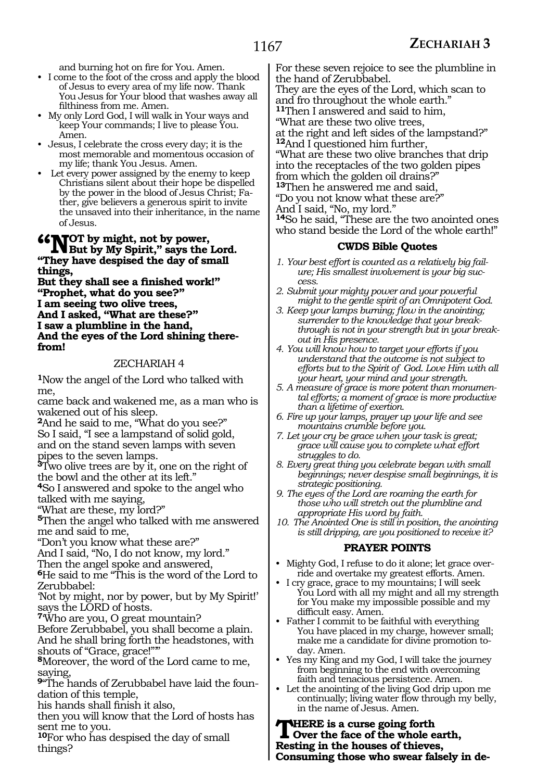and burning hot on fire for You. Amen.

- • I come to the foot of the cross and apply the blood of Jesus to every area of my life now. Thank You Jesus for Your blood that washes away all filthiness from me. Amen.
- • My only Lord God, I will walk in Your ways and keep Your commands; I live to please You. Amen.
- • Jesus, I celebrate the cross every day; it is the most memorable and momentous occasion of my life; thank You Jesus. Amen.
- Let every power assigned by the enemy to keep Christians silent about their hope be dispelled by the power in the blood of Jesus Christ; Father, give believers a generous spirit to invite the unsaved into their inheritance, in the name of Jesus.

# **"Comparison Spirit, not by power,<br>
We But by My Spirit," says the Lord.**<br>
"There have degrained the day of small. **"They have despised the day of small**

**things, But they shall see a finished work!" "Prophet, what do you see?" I am seeing two olive trees, And I asked, "What are these?" I saw a plumbline in the hand, And the eyes of the Lord shining therefrom!**

#### ZECHARIAH 4

**<sup>1</sup>**Now the angel of the Lord who talked with me,

came back and wakened me, as a man who is wakened out of his sleep.

**<sup>2</sup>**And he said to me, "What do you see?" So I said, "I see a lampstand of solid gold, and on the stand seven lamps with seven pipes to the seven lamps.

**<sup>3</sup>**Two olive trees are by it, one on the right of the bowl and the other at its left."

**<sup>4</sup>**So I answered and spoke to the angel who talked with me saying,

"What are these, my lord?"

**<sup>5</sup>**Then the angel who talked with me answered me and said to me,

"Don't you know what these are?"

And I said, "No, I do not know, my lord."

Then the angel spoke and answered,

**<sup>6</sup>**He said to me "This is the word of the Lord to Zerubbabel:

'Not by might, nor by power, but by My Spirit!' says the LORD of hosts.

**<sup>7</sup>**'Who are you, O great mountain?

Before Zerubbabel, you shall become a plain. And he shall bring forth the headstones, with shouts of "Grace, grace!"'"

**<sup>8</sup>**Moreover, the word of the Lord came to me, saying,

**9**"The hands of Zerubbabel have laid the foundation of this temple,

his hands shall finish it also,

then you will know that the Lord of hosts has sent me to you.

**<sup>10</sup>**For who has despised the day of small things?

For these seven rejoice to see the plumbline in the hand of Zerubbabel.

They are the eyes of the Lord, which scan to and fro throughout the whole earth."

**<sup>11</sup>**Then I answered and said to him,

"What are these two olive trees,

at the right and left sides of the lampstand?" **<sup>12</sup>**And I questioned him further,

"What are these two olive branches that drip into the receptacles of the two golden pipes from which the golden oil drains?"

**<sup>13</sup>**Then he answered me and said, "Do you not know what these are?"

And I said, "No, my lord."

**<sup>14</sup>**So he said, "These are the two anointed ones who stand beside the Lord of the whole earth!"

#### **CWDS Bible Quotes**

- *1. Your best effort is counted as a relatively big failure; His smallest involvement is your big success.*
- *2. Submit your mighty power and your powerful might to the gentle spirit of an Omnipotent God.*
- *3. Keep your lamps burning; flow in the anointing; surrender to the knowledge that your breakthrough is not in your strength but in your breakout in His presence.*
- *4. You will know how to target your efforts if you understand that the outcome is not subject to efforts but to the Spirit of God. Love Him with all your heart, your mind and your strength.*
- *5. A measure of grace is more potent than monumental efforts; a moment of grace is more productive than a lifetime of exertion.*
- *6. Fire up your lamps, prayer up your life and see mountains crumble before you.*
- *7. Let your cry be grace when your task is great; grace will cause you to complete what effort struggles to do.*
- *8. Every great thing you celebrate began with small beginnings; never despise small beginnings, it is strategic positioning.*
- *9. The eyes of the Lord are roaming the earth for those who will stretch out the plumbline and appropriate His word by faith.*
- *10. The Anointed One is still in position, the anointing is still dripping, are you positioned to receive it?*

#### **PRAYER POINTS**

- Mighty God, I refuse to do it alone; let grace override and overtake my greatest efforts. Amen.
- I cry grace, grace to my mountains; I will seek You Lord with all my might and all my strength for You make my impossible possible and my difficult easy. Amen.
- Father I commit to be faithful with everything You have placed in my charge, however small; make me a candidate for divine promotion today. Amen.
- Yes my King and my God, I will take the journey from beginning to the end with overcoming faith and tenacious persistence. Amen.
- Let the anointing of the living God drip upon me continually; living water flow through my belly, in the name of Jesus. Amen.

**THERE** is a curse going forth<br>
Over the face of the whole earth,<br> **Pecting in the houses of this use Resting in the houses of thieves, Consuming those who swear falsely in de-**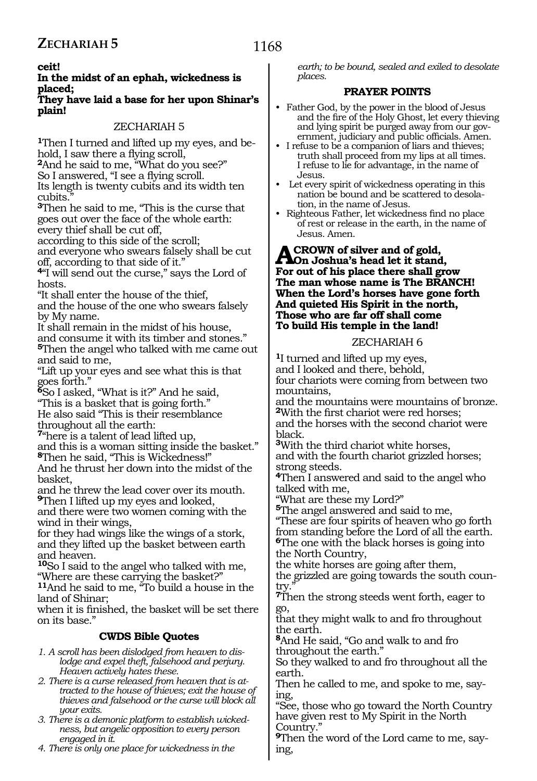#### **ceit!**

#### **In the midst of an ephah, wickedness is placed;**

#### **They have laid a base for her upon Shinar's plain!**

#### ZECHARIAH 5

**<sup>1</sup>**Then I turned and lifted up my eyes, and be- hold, <sup>I</sup> saw there a flying scroll, **<sup>2</sup>**And he said to me, "What do you see?"

So I answered, "I see a flying scroll.

Its length is twenty cubits and its width ten

cubits.

**<sup>3</sup>**Then he said to me, "This is the curse that goes out over the face of the whole earth: every thief shall be cut off,

according to this side of the scroll;

and everyone who swears falsely shall be cut off, according to that side of it."

**<sup>4</sup>**"I will send out the curse," says the Lord of hosts.

"It shall enter the house of the thief, and the house of the one who swears falsely by My name.

It shall remain in the midst of his house, and consume it with its timber and stones."

**<sup>5</sup>**Then the angel who talked with me came out and said to me,

"Lift up your eyes and see what this is that goes forth."

**<sup>6</sup>**So I asked, "What is it?" And he said,

"This is a basket that is going forth." He also said "This is their resemblance throughout all the earth:

**<sup>7</sup>**"here is a talent of lead lifted up,

and this is a woman sitting inside the basket." **<sup>8</sup>**Then he said, "This is Wickedness!"

And he thrust her down into the midst of the basket,

and he threw the lead cover over its mouth. **<sup>9</sup>**Then I lifted up my eyes and looked,

and there were two women coming with the wind in their wings,

for they had wings like the wings of a stork, and they lifted up the basket between earth and heaven.

**<sup>10</sup>**So I said to the angel who talked with me, "Where are these carrying the basket?"

**<sup>11</sup>**And he said to me, "To build a house in the land of Shinar;

when it is finished, the basket will be set there on its base."

# **CWDS Bible Quotes**

*1. A scroll has been dislodged from heaven to dislodge and expel theft, falsehood and perjury. Heaven actively hates these.* 

- *2. There is a curse released from heaven that is attracted to the house of thieves; exit the house of thieves and falsehood or the curse will block all your exits.*
- *3. There is a demonic platform to establish wickedness, but angelic opposition to every person engaged in it.*

*4. There is only one place for wickedness in the* 

*earth; to be bound, sealed and exiled to desolate places.* 

#### **PRAYER POINTS**

- Father God, by the power in the blood of Jesus and the fire of the Holy Ghost, let every thieving and lying spirit be purged away from our government, judiciary and public officials. Amen.
- I refuse to be a companion of liars and thieves; truth shall proceed from my lips at all times. I refuse to lie for advantage, in the name of Jesus.
- Let every spirit of wickedness operating in this nation be bound and be scattered to desolation, in the name of Jesus.
- • Righteous Father, let wickedness find no place of rest or release in the earth, in the name of Jesus. Amen.

# **A CROWN of silver and of gold,<br>
<b>A** On Joshua's head let it stand,<br>
For out of his place there abell on **For out of his place there shall grow The man whose name is The BRANCH! When the Lord's horses have gone forth And quieted His Spirit in the north, Those who are far off shall come To build His temple in the land!**

#### ZECHARIAH 6

**<sup>1</sup>**I turned and lifted up my eyes, and I looked and there, behold, four chariots were coming from between two mountains,

and the mountains were mountains of bronze. **<sup>2</sup>**With the first chariot were red horses;

and the horses with the second chariot were black.

**<sup>3</sup>**With the third chariot white horses, and with the fourth chariot grizzled horses; strong steeds.

**<sup>4</sup>**Then I answered and said to the angel who talked with me,

"What are these my Lord?"

**<sup>5</sup>**The angel answered and said to me,

"These are four spirits of heaven who go forth from standing before the Lord of all the earth. **<sup>6</sup>**The one with the black horses is going into the North Country,

the white horses are going after them,

the grizzled are going towards the south coun-<br>try."

**<sup>7</sup>**Then the strong steeds went forth, eager to go,

that they might walk to and fro throughout the earth.

**<sup>8</sup>**And He said, "Go and walk to and fro throughout the earth."

So they walked to and fro throughout all the earth.

Then he called to me, and spoke to me, saying,

"See, those who go toward the North Country have given rest to My Spirit in the North Country."

**9**Then the word of the Lord came to me, saying,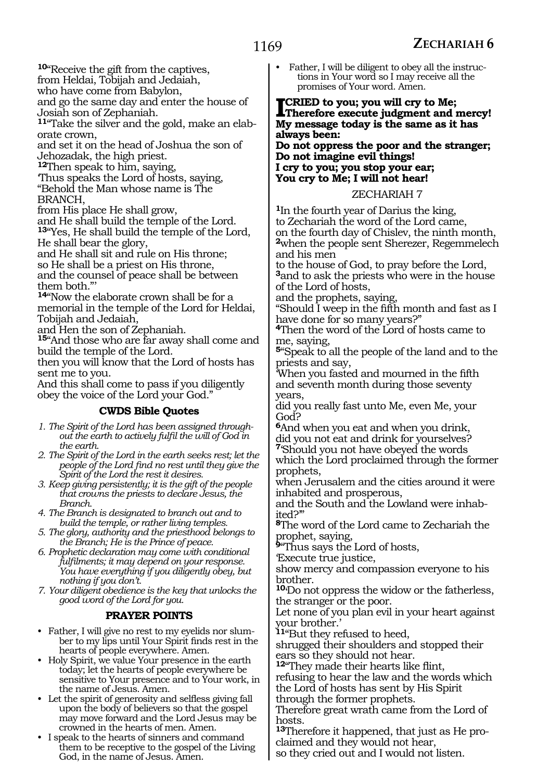**<sup>10</sup>**"Receive the gift from the captives,

from Heldai, Tobijah and Jedaiah,

who have come from Babylon,

and go the same day and enter the house of Josiah son of Zephaniah.

**11**"Take the silver and the gold, make an elaborate crown,

and set it on the head of Joshua the son of Jehozadak, the high priest.

**<sup>12</sup>**Then speak to him, saying,

'Thus speaks the Lord of hosts, saying,

"Behold the Man whose name is The BRANCH,

from His place He shall grow,

and He shall build the temple of the Lord.

**<sup>13</sup>**"Yes, He shall build the temple of the Lord, He shall bear the glory,

and He shall sit and rule on His throne;

so He shall be a priest on His throne,

and the counsel of peace shall be between them both."'

**<sup>14</sup>**"Now the elaborate crown shall be for a memorial in the temple of the Lord for Heldai, Tobijah and Jedaiah,

and Hen the son of Zephaniah.

**<sup>15</sup>**"And those who are far away shall come and build the temple of the Lord.

then you will know that the Lord of hosts has sent me to you.

And this shall come to pass if you diligently obey the voice of the Lord your God."

# **CWDS Bible Quotes**

*1. The Spirit of the Lord has been assigned throughout the earth to actively fulfil the will of God in the earth.* 

- *2. The Spirit of the Lord in the earth seeks rest; let the people of the Lord find no rest until they give the Spirit of the Lord the rest it desires.*
- *3. Keep giving persistently; it is the gift of the people that crowns the priests to declare Jesus, the Branch.*

*4. The Branch is designated to branch out and to build the temple, or rather living temples.*

*5. The glory, authority and the priesthood belongs to the Branch; He is the Prince of peace.*

*6. Prophetic declaration may come with conditional fulfilments; it may depend on your response. You have everything if you diligently obey, but nothing if you don't.*

*7. Your diligent obedience is the key that unlocks the good word of the Lord for you.*

# **PRAYER POINTS**

- • Father, I will give no rest to my eyelids nor slumber to my lips until Your Spirit finds rest in the hearts of people everywhere. Amen.
- Holy Spirit, we value Your presence in the earth today; let the hearts of people everywhere be sensitive to Your presence and to Your work, in the name of Jesus. Amen.
- • Let the spirit of generosity and selfless giving fall upon the body of believers so that the gospel may move forward and the Lord Jesus may be crowned in the hearts of men. Amen.
- • I speak to the hearts of sinners and command them to be receptive to the gospel of the Living God, in the name of Jesus. Amen.

Father, I will be diligent to obey all the instructions in Your word so I may receive all the promises of Your word. Amen.

# **ICRIED to you; you will cry to Me;**<br>Therefore execute judgment and mercy!<br>My message today is the same as it has **My message today is the same as it has always been:**

**Do not oppress the poor and the stranger; Do not imagine evil things! I cry to you; you stop your ear; You cry to Me; I will not hear!**

#### ZECHARIAH 7

**<sup>1</sup>**In the fourth year of Darius the king, to Zechariah the word of the Lord came, on the fourth day of Chislev, the ninth month, **<sup>2</sup>**when the people sent Sherezer, Regemmelech and his men

to the house of God, to pray before the Lord, **<sup>3</sup>**and to ask the priests who were in the house of the Lord of hosts,

and the prophets, saying,

"Should I weep in the fifth month and fast as I have done for so many years?"

**<sup>4</sup>**Then the word of the Lord of hosts came to me, saying,

**<sup>5</sup>**"Speak to all the people of the land and to the priests and say,

'When you fasted and mourned in the fifth and seventh month during those seventy years,

did you really fast unto Me, even Me, your God?

**<sup>6</sup>**And when you eat and when you drink, did you not eat and drink for yourselves?

**<sup>7</sup>**'Should you not have obeyed the words which the Lord proclaimed through the former prophets,

when Jerusalem and the cities around it were inhabited and prosperous,

and the South and the Lowland were inhabited?'"

**<sup>8</sup>**The word of the Lord came to Zechariah the prophet, saying,

**<sup>9</sup>**"Thus says the Lord of hosts,

'Execute true justice,

show mercy and compassion everyone to his brother.

**<sup>10</sup>**'Do not oppress the widow or the fatherless, the stranger or the poor.

Let none of you plan evil in your heart against your brother.'

**<sup>11</sup>**"But they refused to heed,

shrugged their shoulders and stopped their ears so they should not hear.

**<sup>12</sup>**"They made their hearts like flint,

refusing to hear the law and the words which the Lord of hosts has sent by His Spirit through the former prophets.

Therefore great wrath came from the Lord of hosts.

**13**Therefore it happened, that just as He proclaimed and they would not hear,

so they cried out and I would not listen.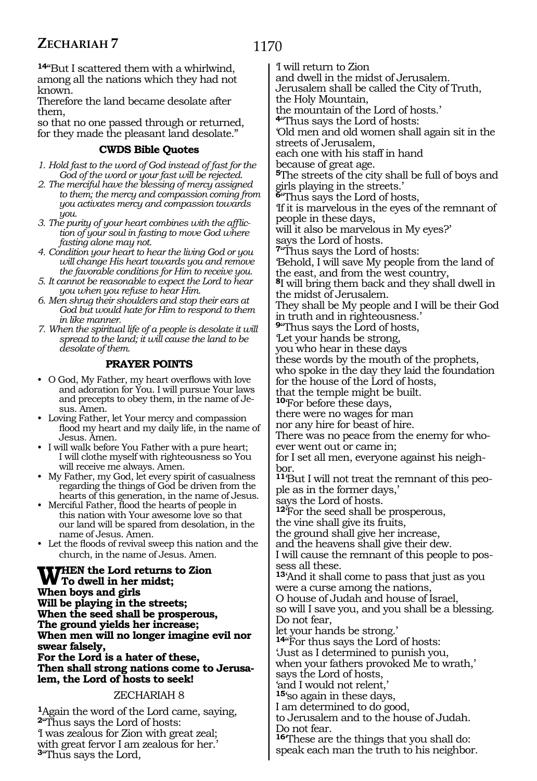1170

**<sup>14</sup>**"But I scattered them with a whirlwind, among all the nations which they had not known.

Therefore the land became desolate after them,

so that no one passed through or returned, for they made the pleasant land desolate."

# **CWDS Bible Quotes**

- *1. Hold fast to the word of God instead of fast for the God of the word or your fast will be rejected.*
- *2. The merciful have the blessing of mercy assigned to them; the mercy and compassion coming from you activates mercy and compassion towards you.*
- *3. The purity of your heart combines with the affliction of your soul in fasting to move God where fasting alone may not.*
- *4. Condition your heart to hear the living God or you will change His heart towards you and remove the favorable conditions for Him to receive you.*
- *5. It cannot be reasonable to expect the Lord to hear you when you refuse to hear Him.*
- *6. Men shrug their shoulders and stop their ears at God but would hate for Him to respond to them in like manner.*
- *7. When the spiritual life of a people is desolate it will spread to the land; it will cause the land to be desolate of them.*

# **PRAYER POINTS**

- • O God, My Father, my heart overflows with love and adoration for You. I will pursue Your laws and precepts to obey them, in the name of Jesus. Amen.
- Loving Father, let Your mercy and compassion flood my heart and my daily life, in the name of Jesus. Amen.
- • I will walk before You Father with a pure heart; I will clothe myself with righteousness so You will receive me always. Amen.
- • My Father, my God, let every spirit of casualness regarding the things of God be driven from the hearts of this generation, in the name of Jesus.
- • Merciful Father, flood the hearts of people in this nation with Your awesome love so that our land will be spared from desolation, in the name of Jesus. Amen.
- • Let the floods of revival sweep this nation and the church, in the name of Jesus. Amen.

**When the Lord returns to Zion To dwell in her midst; When boys and girls Will be playing in the streets; When the seed shall be prosperous, The ground yields her increase; When men will no longer imagine evil nor swear falsely, For the Lord is a hater of these, Then shall strong nations come to Jerusalem, the Lord of hosts to seek!**

#### ZECHARIAH 8

**<sup>1</sup>**Again the word of the Lord came, saying, **<sup>2</sup>**"Thus says the Lord of hosts: 'I was zealous for Zion with great zeal; with great fervor I am zealous for her.' **<sup>3</sup>**"Thus says the Lord,

'I will return to Zion

and dwell in the midst of Jerusalem.

Jerusalem shall be called the City of Truth, the Holy Mountain,

the mountain of the Lord of hosts.'

**<sup>4</sup>**"Thus says the Lord of hosts:

'Old men and old women shall again sit in the streets of Jerusalem,

each one with his staff in hand

because of great age.

**<sup>5</sup>**The streets of the city shall be full of boys and girls playing in the streets.'

**<sup>6</sup>**"Thus says the Lord of hosts,

'If it is marvelous in the eyes of the remnant of people in these days,

will it also be marvelous in My eyes?' says the Lord of hosts.

**<sup>7</sup>**"Thus says the Lord of hosts:

'Behold, I will save My people from the land of the east, and from the west country,

**<sup>8</sup>**I will bring them back and they shall dwell in the midst of Jerusalem.

They shall be My people and I will be their God in truth and in righteousness.'

**<sup>9</sup>**"Thus says the Lord of hosts, 'Let your hands be strong,

you who hear in these days

these words by the mouth of the prophets,

who spoke in the day they laid the foundation

for the house of the Lord of hosts,

that the temple might be built. **<sup>10</sup>**'For before these days,

there were no wages for man

nor any hire for beast of hire.

There was no peace from the enemy for who- ever went out or came in;

for I set all men, everyone against his neigh- bor.

**11**'But I will not treat the remnant of this people as in the former days,'

says the Lord of hosts.

**<sup>12</sup>**'For the seed shall be prosperous,

the vine shall give its fruits,

the ground shall give her increase,

and the heavens shall give their dew.

I will cause the remnant of this people to possess all these.

**<sup>13</sup>**'And it shall come to pass that just as you were a curse among the nations,

O house of Judah and house of Israel,

so will I save you, and you shall be a blessing. Do not fear,

let your hands be strong.'

**<sup>14</sup>**"For thus says the Lord of hosts:

'Just as I determined to punish you,

when your fathers provoked Me to wrath,' says the Lord of hosts,

'and I would not relent,'

**<sup>15</sup>**'so again in these days,

I am determined to do good,

to Jerusalem and to the house of Judah. Do not fear.

**<sup>16</sup>**'These are the things that you shall do: speak each man the truth to his neighbor.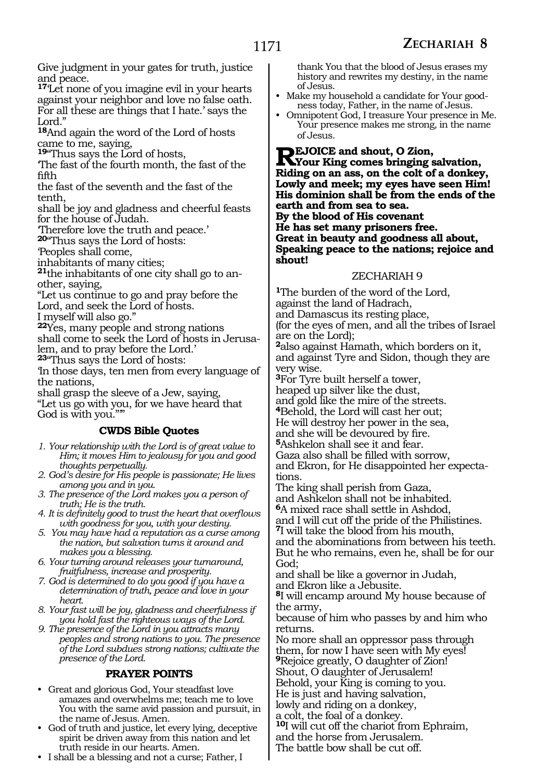**shout!**

Give judgment in your gates for truth, justice and peace.

**<sup>17</sup>**'Let none of you imagine evil in your hearts against your neighbor and love no false oath. For all these are things that I hate.' says the Lord."

**<sup>18</sup>**And again the word of the Lord of hosts came to me, saying,

**<sup>19</sup>**"Thus says the Lord of hosts,

'The fast of the fourth month, the fast of the fifth

the fast of the seventh and the fast of the tenth,

shall be joy and gladness and cheerful feasts for the house of Judah.

'Therefore love the truth and peace.'

**<sup>20</sup>**"Thus says the Lord of hosts:

'Peoples shall come,

inhabitants of many cities;

**21**the inhabitants of one city shall go to another, saying,

"Let us continue to go and pray before the Lord, and seek the Lord of hosts.

I myself will also go."

**<sup>22</sup>**Yes, many people and strong nations shall come to seek the Lord of hosts in Jerusalem, and to pray before the Lord.'

**<sup>23</sup>**"Thus says the Lord of hosts:

'In those days, ten men from every language of the nations,

shall grasp the sleeve of a Jew, saying, "Let us go with you, for we have heard that

# God is with you.""

# **CWDS Bible Quotes**

- *1. Your relationship with the Lord is of great value to Him; it moves Him to jealousy for you and good thoughts perpetually.*
- *2. God's desire for His people is passionate; He lives among you and in you.*
- *3. The presence of the Lord makes you a person of truth; He is the truth.*
- *4. It is definitely good to trust the heart that overflows with goodness for you, with your destiny.*
- *5. You may have had a reputation as a curse among the nation, but salvation turns it around and makes you a blessing.*
- *6. Your turning around releases your turnaround, fruitfulness, increase and prosperity.*
- *7. God is determined to do you good if you have a determination of truth, peace and love in your heart.*
- *8. Your fast will be joy, gladness and cheerfulness if you hold fast the righteous ways of the Lord.*
- *9. The presence of the Lord in you attracts many peoples and strong nations to you. The presence of the Lord subdues strong nations; cultivate the presence of the Lord.*

# **PRAYER POINTS**

- • Great and glorious God, Your steadfast love amazes and overwhelms me; teach me to love You with the same avid passion and pursuit, in the name of Jesus. Amen.
- God of truth and justice, let every lying, deceptive spirit be driven away from this nation and let truth reside in our hearts. Amen.
- I shall be a blessing and not a curse; Father, I

thank You that the blood of Jesus erases my history and rewrites my destiny, in the name of Jesus.

- Make my household a candidate for Your goodness today, Father, in the name of Jesus.
- Omnipotent God, I treasure Your presence in Me. Your presence makes me strong, in the name of Jesus.

**Rejoice and shout, O Zion, Your King comes bringing salvation, Riding on an ass, on the colt of a donkey, Lowly and meek; my eyes have seen Him! His dominion shall be from the ends of the earth and from sea to sea. By the blood of His covenant He has set many prisoners free. Great in beauty and goodness all about, Speaking peace to the nations; rejoice and** 

#### ZECHARIAH 9

**<sup>1</sup>**The burden of the word of the Lord, against the land of Hadrach, and Damascus its resting place,

(for the eyes of men, and all the tribes of Israel are on the Lord);

**<sup>2</sup>**also against Hamath, which borders on it, and against Tyre and Sidon, though they are very wise.

- **<sup>3</sup>**For Tyre built herself a tower,
- heaped up silver like the dust,
- and gold like the mire of the streets.
- **<sup>4</sup>**Behold, the Lord will cast her out;
- He will destroy her power in the sea, and she will be devoured by fire.
- **<sup>5</sup>**Ashkelon shall see it and fear.
- Gaza also shall be filled with sorrow,

and Ekron, for He disappointed her expectations.

- The king shall perish from Gaza, and Ashkelon shall not be inhabited. **<sup>6</sup>**A mixed race shall settle in Ashdod,
- and I will cut off the pride of the Philistines.

**<sup>7</sup>**I will take the blood from his mouth,

and the abominations from between his teeth. But he who remains, even he, shall be for our God;

and shall be like a governor in Judah, and Ekron like a Jebusite.

**<sup>8</sup>**I will encamp around My house because of the army,

because of him who passes by and him who returns.

No more shall an oppressor pass through them, for now I have seen with My eyes! **<sup>9</sup>**Rejoice greatly, O daughter of Zion! Shout, O daughter of Jerusalem! Behold, your King is coming to you.

He is just and having salvation,

lowly and riding on a donkey,

a colt, the foal of a donkey.

**<sup>10</sup>**I will cut off the chariot from Ephraim, and the horse from Jerusalem.

The battle bow shall be cut off.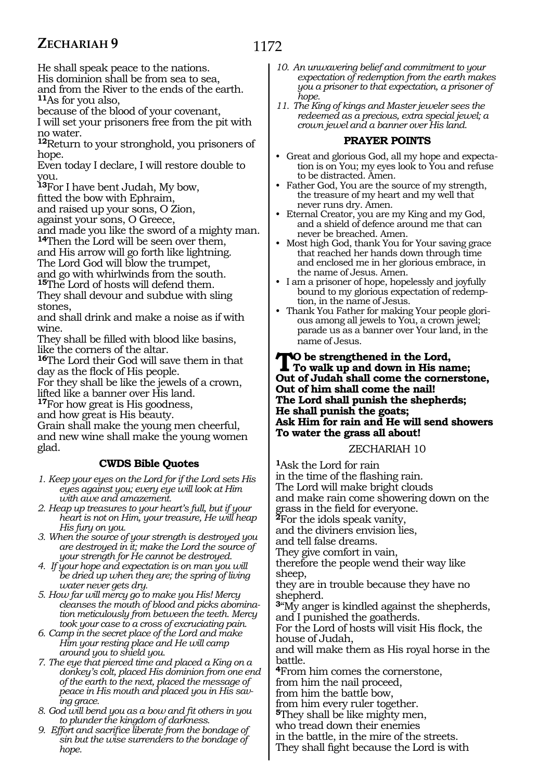1172

He shall speak peace to the nations. His dominion shall be from sea to sea, and from the River to the ends of the earth. **<sup>11</sup>**As for you also,

because of the blood of your covenant,

I will set your prisoners free from the pit with no water.

**<sup>12</sup>**Return to your stronghold, you prisoners of hope.

Even today I declare, I will restore double to you.

**<sup>13</sup>**For I have bent Judah, My bow,

fitted the bow with Ephraim,

and raised up your sons, O Zion,

against your sons, O Greece,

and made you like the sword of a mighty man. **<sup>14</sup>**Then the Lord will be seen over them,

and His arrow will go forth like lightning.

The Lord God will blow the trumpet,

and go with whirlwinds from the south.

**<sup>15</sup>**The Lord of hosts will defend them. They shall devour and subdue with sling stones,

and shall drink and make a noise as if with wine.

They shall be filled with blood like basins, like the corners of the altar.

**<sup>16</sup>**The Lord their God will save them in that day as the flock of His people.

For they shall be like the jewels of a crown, lifted like a banner over His land.

**<sup>17</sup>**For how great is His goodness,

and how great is His beauty.

Grain shall make the young men cheerful, and new wine shall make the young women glad.

# **CWDS Bible Quotes**

- *1. Keep your eyes on the Lord for if the Lord sets His eyes against you; every eye will look at Him with awe and amazement.*
- *2. Heap up treasures to your heart's full, but if your heart is not on Him, your treasure, He will heap His fury on you.*
- *3. When the source of your strength is destroyed you are destroyed in it; make the Lord the source of your strength for He cannot be destroyed.*
- *4. If your hope and expectation is on man you will be dried up when they are; the spring of living water never gets dry.*
- *5. How far will mercy go to make you His! Mercy cleanses the mouth of blood and picks abomination meticulously from between the teeth. Mercy took your case to a cross of excruciating pain.*
- *6. Camp in the secret place of the Lord and make Him your resting place and He will camp around you to shield you.*
- *7. The eye that pierced time and placed a King on a donkey's colt, placed His dominion from one end of the earth to the next, placed the message of peace in His mouth and placed you in His saving grace.*
- *8. God will bend you as a bow and fit others in you to plunder the kingdom of darkness.*
- *9. Effort and sacrifice liberate from the bondage of sin but the wise surrenders to the bondage of hope.*
- *10. An unwavering belief and commitment to your expectation of redemption from the earth makes you a prisoner to that expectation, a prisoner of hope.*
- *11. The King of kings and Master jeweler sees the redeemed as a precious, extra special jewel; a crown jewel and a banner over His land.*

#### **PRAYER POINTS**

- • Great and glorious God, all my hope and expectation is on You; my eyes look to You and refuse to be distracted. Amen.
- • Father God, You are the source of my strength, the treasure of my heart and my well that never runs dry. Amen.
- • Eternal Creator, you are my King and my God, and a shield of defence around me that can never be breached. Amen.
- • Most high God, thank You for Your saving grace that reached her hands down through time and enclosed me in her glorious embrace, in the name of Jesus. Amen.
- • I am a prisoner of hope, hopelessly and joyfully bound to my glorious expectation of redemption, in the name of Jesus.
- Thank You Father for making Your people glorious among all jewels to You, a crown jewel; parade us as a banner over Your land, in the name of Jesus.

**TO** be strengthened in the Lord,<br>To walk up and down in His name;<br>Out of Indeb abell came the comparation **Out of Judah shall come the cornerstone, Out of him shall come the nail! The Lord shall punish the shepherds; He shall punish the goats; Ask Him for rain and He will send showers To water the grass all about!**

# ZECHARIAH 10

**<sup>1</sup>**Ask the Lord for rain in the time of the flashing rain. The Lord will make bright clouds and make rain come showering down on the grass in the field for everyone. **<sup>2</sup>**For the idols speak vanity, and the diviners envision lies, and tell false dreams. They give comfort in vain, therefore the people wend their way like sheep, they are in trouble because they have no shepherd. **<sup>3</sup>**"My anger is kindled against the shepherds, and I punished the goatherds. For the Lord of hosts will visit His flock, the house of Judah, and will make them as His royal horse in the battle. **<sup>4</sup>**From him comes the cornerstone, from him the nail proceed, from him the battle bow, from him every ruler together. **<sup>5</sup>**They shall be like mighty men, who tread down their enemies in the battle, in the mire of the streets. They shall fight because the Lord is with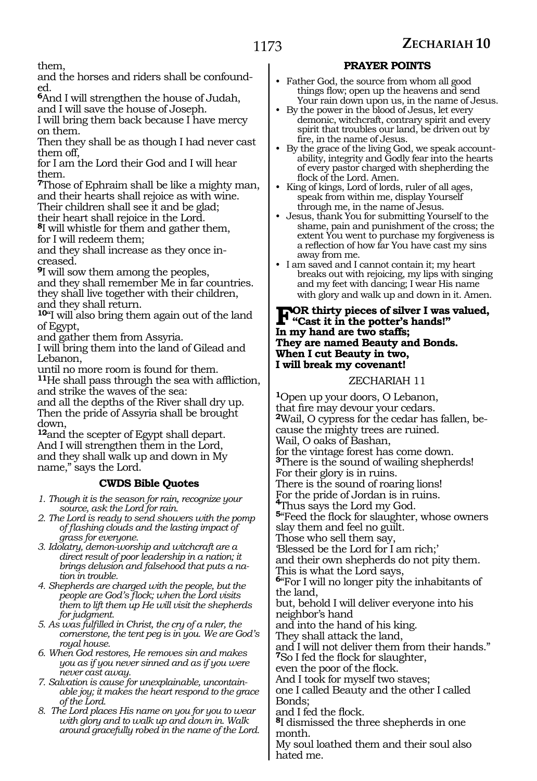them,

and the horses and riders shall be confounded.

**<sup>6</sup>**And I will strengthen the house of Judah, and I will save the house of Joseph.

I will bring them back because I have mercy on them.

Then they shall be as though I had never cast them off,

for I am the Lord their God and I will hear them.

**<sup>7</sup>**Those of Ephraim shall be like a mighty man, and their hearts shall rejoice as with wine. Their children shall see it and be glad;

their heart shall rejoice in the Lord.

**<sup>8</sup>**I will whistle for them and gather them,

for I will redeem them;

and they shall increase as they once increased.

**<sup>9</sup>**I will sow them among the peoples,

and they shall remember Me in far countries. they shall live together with their children, and they shall return.

**<sup>10</sup>**"I will also bring them again out of the land of Egypt,

and gather them from Assyria.

I will bring them into the land of Gilead and Lebanon,

until no more room is found for them. **<sup>11</sup>**He shall pass through the sea with affliction, and strike the waves of the sea:

and all the depths of the River shall dry up. Then the pride of Assyria shall be brought down,

**<sup>12</sup>**and the scepter of Egypt shall depart. And I will strengthen them in the Lord, and they shall walk up and down in My name," says the Lord.

# **CWDS Bible Quotes**

- *1. Though it is the season for rain, recognize your source, ask the Lord for rain.*
- *2. The Lord is ready to send showers with the pomp of flashing clouds and the lasting impact of grass for everyone.*
- *3. Idolatry, demon-worship and witchcraft are a direct result of poor leadership in a nation; it brings delusion and falsehood that puts a nation in trouble.*
- *4. Shepherds are charged with the people, but the people are God's flock; when the Lord visits them to lift them up He will visit the shepherds for judgment.*
- *5. As was fulfilled in Christ, the cry of a ruler, the cornerstone, the tent peg is in you. We are God's royal house.*
- *6. When God restores, He removes sin and makes you as if you never sinned and as if you were never cast away.*
- *7. Salvation is cause for unexplainable, uncontainable joy; it makes the heart respond to the grace of the Lord.*
- *8. The Lord places His name on you for you to wear with glory and to walk up and down in. Walk around gracefully robed in the name of the Lord.*

# **PRAYER POINTS**

- Father God, the source from whom all good things flow; open up the heavens and send Your rain down upon us, in the name of Jesus.
- • By the power in the blood of Jesus, let every demonic, witchcraft, contrary spirit and every spirit that troubles our land, be driven out by fire, in the name of Jesus.
- • By the grace of the living God, we speak accountability, integrity and Godly fear into the hearts of every pastor charged with shepherding the flock of the Lord. Amen.
- King of kings, Lord of lords, ruler of all ages, speak from within me, display Yourself through me, in the name of Jesus.
- • Jesus, thank You for submitting Yourself to the shame, pain and punishment of the cross; the extent You went to purchase my forgiveness is a reflection of how far You have cast my sins away from me.
- • I am saved and I cannot contain it; my heart breaks out with rejoicing, my lips with singing and my feet with dancing; I wear His name with glory and walk up and down in it. Amen.

# **FOR thirty pieces of silver I was valued,**<br>"Cast it in the potter's hands!"<br>In my hand are two staffs. **In my hand are two staffs; They are named Beauty and Bonds. When I cut Beauty in two, I will break my covenant!**

#### ZECHARIAH 11

**<sup>1</sup>**Open up your doors, O Lebanon, that fire may devour your cedars. **2**Wail, O cypress for the cedar has fallen, because the mighty trees are ruined. Wail, O oaks of Bashan, for the vintage forest has come down. **<sup>3</sup>**There is the sound of wailing shepherds! For their glory is in ruins. There is the sound of roaring lions! For the pride of Jordan is in ruins. **<sup>4</sup>**Thus says the Lord my God. **<sup>5</sup>**"Feed the flock for slaughter, whose owners slay them and feel no guilt. Those who sell them say, 'Blessed be the Lord for I am rich;' and their own shepherds do not pity them. This is what the Lord says, **<sup>6</sup>**"For I will no longer pity the inhabitants of the land, but, behold I will deliver everyone into his neighbor's hand and into the hand of his king. They shall attack the land, and I will not deliver them from their hands." **<sup>7</sup>**So I fed the flock for slaughter, even the poor of the flock. And I took for myself two staves; one I called Beauty and the other I called Bonds; and I fed the flock. **<sup>8</sup>**I dismissed the three shepherds in one month. My soul loathed them and their soul also hated me.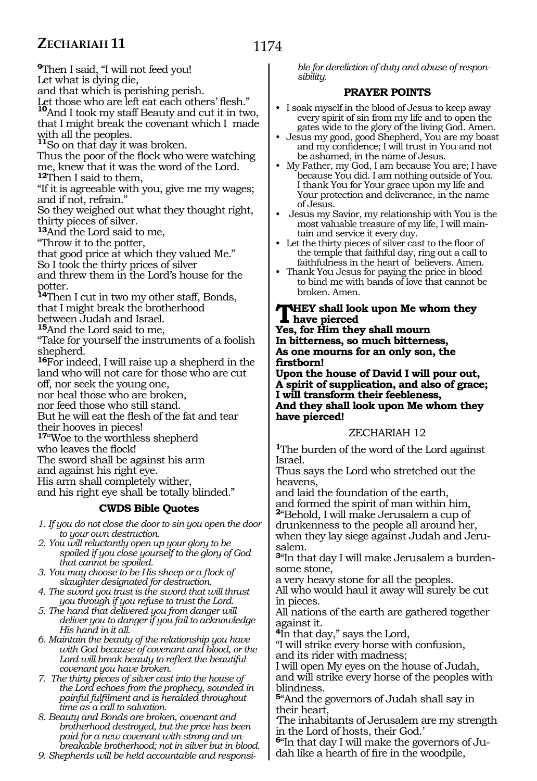**<sup>9</sup>**Then I said, "I will not feed you! Let what is dying die,

and that which is perishing perish.

Let those who are left eat each others' flesh."

**<sup>10</sup>**And I took my staff Beauty and cut it in two, that I might break the covenant which I made with all the peoples.

**<sup>11</sup>**So on that day it was broken.

Thus the poor of the flock who were watching me, knew that it was the word of the Lord. **<sup>12</sup>**Then I said to them,

"If it is agreeable with you, give me my wages; and if not, refrain."

So they weighed out what they thought right, thirty pieces of silver.

**<sup>13</sup>**And the Lord said to me,

"Throw it to the potter,

that good price at which they valued Me."

So I took the thirty prices of silver

and threw them in the Lord's house for the potter.

**<sup>14</sup>**Then I cut in two my other staff, Bonds, that I might break the brotherhood

between Judah and Israel.

**<sup>15</sup>**And the Lord said to me,

"Take for yourself the instruments of a foolish shepherd.

**<sup>16</sup>**For indeed, I will raise up a shepherd in the land who will not care for those who are cut

off, nor seek the young one,

nor heal those who are broken,

nor feed those who still stand.

But he will eat the flesh of the fat and tear their hooves in pieces!

**<sup>17</sup>**"Woe to the worthless shepherd

who leaves the flock!

The sword shall be against his arm

and against his right eye.

His arm shall completely wither,

and his right eye shall be totally blinded."

#### **CWDS Bible Quotes**

*1. If you do not close the door to sin you open the door to your own destruction.* 

- *2. You will reluctantly open up your glory to be spoiled if you close yourself to the glory of God that cannot be spoiled.*
- *3. You may choose to be His sheep or a flock of slaughter designated for destruction.*
- *4. The sword you trust is the sword that will thrust you through if you refuse to trust the Lord.*
- *5. The hand that delivered you from danger will deliver you to danger if you fail to acknowledge His hand in it all.*

*6. Maintain the beauty of the relationship you have with God because of covenant and blood, or the Lord will break beauty to reflect the beautiful covenant you have broken.*

*7. The thirty pieces of silver cast into the house of the Lord echoes from the prophecy, sounded in painful fulfilment and is heralded throughout time as a call to salvation.*

*8. Beauty and Bonds are broken, covenant and brotherhood destroyed, but the price has been paid for a new covenant with strong and unbreakable brotherhood; not in silver but in blood.*

*9. Shepherds will be held accountable and responsi-*

*ble for dereliction of duty and abuse of responsibility.*

#### **PRAYER POINTS**

- • I soak myself in the blood of Jesus to keep away every spirit of sin from my life and to open the gates wide to the glory of the living God. Amen.
- • Jesus my good, good Shepherd, You are my boast and my confidence; I will trust in You and not be ashamed, in the name of Jesus.
- My Father, my God, I am because You are; I have because You did. I am nothing outside of You. I thank You for Your grace upon my life and Your protection and deliverance, in the name of Jesus.
- Jesus my Savior, my relationship with You is the most valuable treasure of my life, I will maintain and service it every day.
- Let the thirty pieces of silver cast to the floor of the temple that faithful day, ring out a call to faithfulness in the heart of believers. Amen.
- • Thank You Jesus for paying the price in blood to bind me with bands of love that cannot be broken. Amen.

# **THEY** shall look upon Me whom they<br>
Not for lim they shall mey me

**Yes, for Him they shall mourn In bitterness, so much bitterness, As one mourns for an only son, the firstborn!**

**Upon the house of David I will pour out, A spirit of supplication, and also of grace; I will transform their feebleness, And they shall look upon Me whom they have pierced!**

#### ZECHARIAH 12

**<sup>1</sup>**The burden of the word of the Lord against Israel.

Thus says the Lord who stretched out the heavens,

and laid the foundation of the earth, and formed the spirit of man within him, **<sup>2</sup>**"Behold, I will make Jerusalem a cup of drunkenness to the people all around her, when they lay siege against Judah and Jerusalem.

**3**"In that day I will make Jerusalem a burdensome stone,

a very heavy stone for all the peoples.

All who would haul it away will surely be cut in pieces.

All nations of the earth are gathered together against it.

**<sup>4</sup>**In that day," says the Lord,

"I will strike every horse with confusion, and its rider with madness;

I will open My eyes on the house of Judah,

and will strike every horse of the peoples with blindness.

**<sup>5</sup>**"And the governors of Judah shall say in their heart,

'The inhabitants of Jerusalem are my strength in the Lord of hosts, their God.'

**6**"In that day I will make the governors of Judah like a hearth of fire in the woodpile,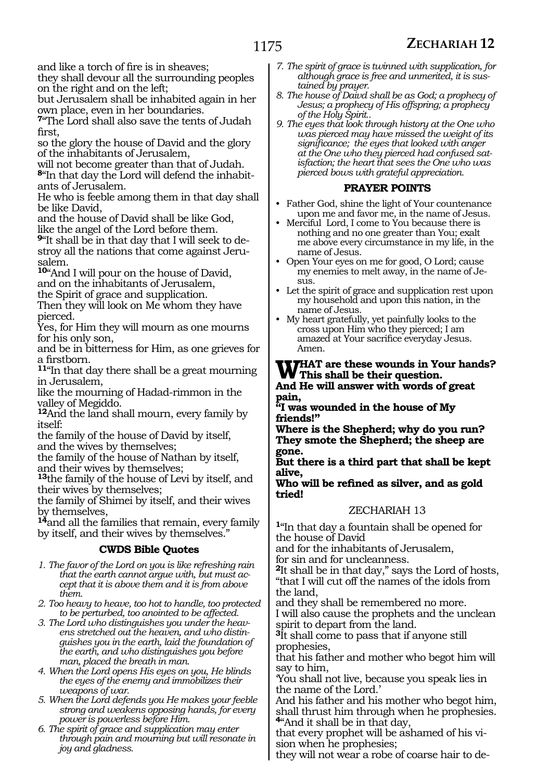and like a torch of fire is in sheaves;

they shall devour all the surrounding peoples on the right and on the left;

but Jerusalem shall be inhabited again in her own place, even in her boundaries.

**<sup>7</sup>**"The Lord shall also save the tents of Judah first,

so the glory the house of David and the glory of the inhabitants of Jerusalem,

will not become greater than that of Judah. **8**"In that day the Lord will defend the inhabitants of Jerusalem.

He who is feeble among them in that day shall be like David,

and the house of David shall be like God, like the angel of the Lord before them.

**9**"It shall be in that day that I will seek to destroy all the nations that come against Jerusalem.

**<sup>10</sup>**"And I will pour on the house of David, and on the inhabitants of Jerusalem,

the Spirit of grace and supplication.

Then they will look on Me whom they have pierced.

Yes, for Him they will mourn as one mourns for his only son,

and be in bitterness for Him, as one grieves for

11"In that day there shall be a great mourning in Jerusalem,

like the mourning of Hadad-rimmon in the valley of Megiddo.

**<sup>12</sup>**And the land shall mourn, every family by itself:

the family of the house of David by itself, and the wives by themselves;

the family of the house of Nathan by itself, and their wives by themselves;

**<sup>13</sup>**the family of the house of Levi by itself, and their wives by themselves;

the family of Shimei by itself, and their wives by themselves,

**<sup>14</sup>**and all the families that remain, every family by itself, and their wives by themselves."

#### **CWDS Bible Quotes**

*1. The favor of the Lord on you is like refreshing rain that the earth cannot argue with, but must accept that it is above them and it is from above them.*

*2. Too heavy to heave, too hot to handle, too protected to be perturbed, too anointed to be affected.*

*3. The Lord who distinguishes you under the heavens stretched out the heaven, and who distinguishes you in the earth, laid the foundation of the earth, and who distinguishes you before man, placed the breath in man.*

*4. When the Lord opens His eyes on you, He blinds the eyes of the enemy and immobilizes their weapons of war.*

*5. When the Lord defends you He makes your feeble strong and weakens opposing hands, for every power is powerless before Him.*

*6. The spirit of grace and supplication may enter through pain and mourning but will resonate in joy and gladness.*

- *7. The spirit of grace is twinned with supplication, for although grace is free and unmerited, it is sustained by prayer.*
- *8. The house of Daivd shall be as God; a prophecy of Jesus; a prophecy of His offspring; a prophecy of the Holy Spirit..*
- *9. The eyes that look through history at the One who was pierced may have missed the weight of its significance; the eyes that looked with anger at the One who they pierced had confused satisfaction; the heart that sees the One who was pierced bows with grateful appreciation.*

#### **PRAYER POINTS**

• Father God, shine the light of Your countenance upon me and favor me, in the name of Jesus.

• Merciful Lord, I come to You because there is nothing and no one greater than You; exalt me above every circumstance in my life, in the name of Jesus.

• Open Your eyes on me for good, O Lord; cause my enemies to melt away, in the name of Je- $S11S$ .

- Let the spirit of grace and supplication rest upon my household and upon this nation, in the name of Jesus.
- • My heart gratefully, yet painfully looks to the cross upon Him who they pierced; I am amazed at Your sacrifice everyday Jesus. Amen.

# **WHAT** are these wounds in Your hands?<br> **W** This shall be their question.

**And He will answer with words of great pain,**

**"I was wounded in the house of My friends!"**

**Where is the Shepherd; why do you run? They smote the Shepherd; the sheep are gone.** 

**But there is a third part that shall be kept alive,** 

#### **Who will be refined as silver, and as gold tried!**

# ZECHARIAH 13

**<sup>1</sup>**"In that day a fountain shall be opened for the house of David

and for the inhabitants of Jerusalem,

for sin and for uncleanness.

**<sup>2</sup>**It shall be in that day," says the Lord of hosts, "that I will cut off the names of the idols from the land,

and they shall be remembered no more. I will also cause the prophets and the unclean spirit to depart from the land.

**<sup>3</sup>**It shall come to pass that if anyone still prophesies,

that his father and mother who begot him will say to him,

'You shall not live, because you speak lies in the name of the Lord.'

And his father and his mother who begot him, shall thrust him through when he prophesies. **<sup>4</sup>**"And it shall be in that day,

that every prophet will be ashamed of his vision when he prophesies;

they will not wear a robe of coarse hair to de-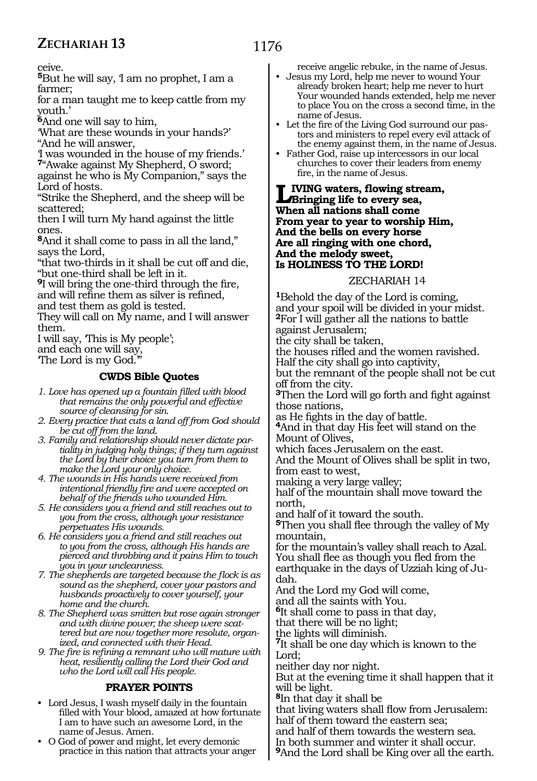ceive.

**<sup>5</sup>**But he will say, 'I am no prophet, I am a farmer;

for a man taught me to keep cattle from my youth.'

**<sup>6</sup>**And one will say to him,

'What are these wounds in your hands?' "And he will answer,

'I was wounded in the house of my friends.' **<sup>7</sup>**"Awake against My Shepherd, O sword;

against he who is My Companion," says the Lord of hosts.

"Strike the Shepherd, and the sheep will be scattered;

then I will turn My hand against the little ones.

**<sup>8</sup>**And it shall come to pass in all the land," says the Lord,

"that two-thirds in it shall be cut off and die, "but one-third shall be left in it.

**<sup>9</sup>**I will bring the one-third through the fire, and will refine them as silver is refined,

and test them as gold is tested.

They will call on My name, and I will answer them.

I will say, 'This is My people';

and each one will say,

The Lord is my God.

# **CWDS Bible Quotes**

*1. Love has opened up a fountain filled with blood that remains the only powerful and effective source of cleansing for sin.*

- *2. Every practice that cuts a land off from God should be cut off from the land.*
- *3. Family and relationship should never dictate partiality in judging holy things; if they turn against the Lord by their choice you turn from them to make the Lord your only choice.*
- *4. The wounds in His hands were received from intentional friendly fire and were accepted on behalf of the friends who wounded Him.*
- *5. He considers you a friend and still reaches out to you from the cross, although your resistance perpetuates His wounds.*
- *6. He considers you a friend and still reaches out to you from the cross, although His hands are pierced and throbbing and it pains Him to touch you in your uncleanness.*

*7. The shepherds are targeted because the flock is as sound as the shepherd, cover your pastors and husbands proactively to cover yourself, your home and the church.*

*8. The Shepherd was smitten but rose again stronger and with divine power; the sheep were scattered but are now together more resolute, organized, and connected with their Head.*

*9. The fire is refining a remnant who will mature with heat, resiliently calling the Lord their God and who the Lord will call His people.*

# **PRAYER POINTS**

- Lord Jesus, I wash myself daily in the fountain filled with Your blood, amazed at how fortunate I am to have such an awesome Lord, in the name of Jesus. Amen.
- • O God of power and might, let every demonic practice in this nation that attracts your anger

receive angelic rebuke, in the name of Jesus.

- Jesus my Lord, help me never to wound Your already broken heart; help me never to hurt Your wounded hands extended, help me never to place You on the cross a second time, in the name of Jesus.
- • Let the fire of the Living God surround our pastors and ministers to repel every evil attack of the enemy against them, in the name of Jesus.
- • Father God, raise up intercessors in our local churches to cover their leaders from enemy fire, in the name of Jesus.

**Living waters, flowing stream, Bringing life to every sea, When all nations shall come From year to year to worship Him, And the bells on every horse Are all ringing with one chord, And the melody sweet, Is HOLINESS TO THE LORD!**

#### ZECHARIAH 14

**<sup>1</sup>**Behold the day of the Lord is coming, and your spoil will be divided in your midst. **<sup>2</sup>**For I will gather all the nations to battle against Jerusalem;

the city shall be taken,

the houses rifled and the women ravished. Half the city shall go into captivity,

but the remnant of the people shall not be cut off from the city.

**<sup>3</sup>**Then the Lord will go forth and fight against

those nations,<br>as He fights in the day of battle.

<sup>4</sup>And in that day His feet will stand on the Mount of Olives,

which faces Jerusalem on the east.

And the Mount of Olives shall be split in two, from east to west,

making a very large valley;

half of the mountain shall move toward the north,

and half of it toward the south.

**<sup>5</sup>**Then you shall flee through the valley of My mountain,

for the mountain's valley shall reach to Azal. You shall flee as though you fled from the earthquake in the days of Uzziah king of Ju- dah.

And the Lord my God will come,

and all the saints with You.

**<sup>6</sup>**It shall come to pass in that day,

that there will be no light;

the lights will diminish. **<sup>7</sup>**It shall be one day which is known to the Lord;

neither day nor night.

But at the evening time it shall happen that it will be light.

**<sup>8</sup>**In that day it shall be

that living waters shall flow from Jerusalem: half of them toward the eastern sea;

and half of them towards the western sea.

In both summer and winter it shall occur.

**<sup>9</sup>**And the Lord shall be King over all the earth.